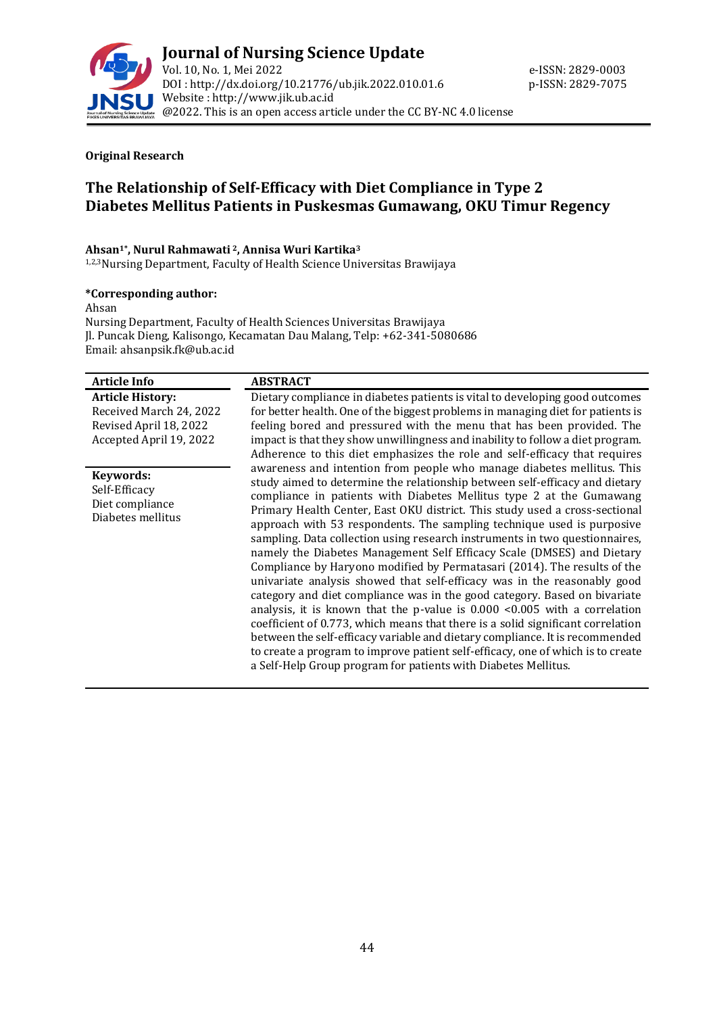

#### **Original Research**

# **The Relationship of Self-Efficacy with Diet Compliance in Type 2 Diabetes Mellitus Patients in Puskesmas Gumawang, OKU Timur Regency**

### **Ahsan1\* , Nurul Rahmawati <sup>2</sup>, Annisa Wuri Kartika<sup>3</sup>**

1,2,3Nursing Department, Faculty of Health Science Universitas Brawijaya

#### **\*Corresponding author:**

Ahsan

Nursing Department, Faculty of Health Sciences Universitas Brawijaya Jl. Puncak Dieng, Kalisongo, Kecamatan Dau Malang, Telp: +62-341-5080686 Email: ahsanpsik.fk@ub.ac.id

| <b>ABSTRACT</b>                                                                                                                                                                                                                                                                                                                                                                                                                                                                                                                                                                                                                                                                                                                                                                                                                                                                                                                                                                                                                                                                                                                                                                             |
|---------------------------------------------------------------------------------------------------------------------------------------------------------------------------------------------------------------------------------------------------------------------------------------------------------------------------------------------------------------------------------------------------------------------------------------------------------------------------------------------------------------------------------------------------------------------------------------------------------------------------------------------------------------------------------------------------------------------------------------------------------------------------------------------------------------------------------------------------------------------------------------------------------------------------------------------------------------------------------------------------------------------------------------------------------------------------------------------------------------------------------------------------------------------------------------------|
| Dietary compliance in diabetes patients is vital to developing good outcomes                                                                                                                                                                                                                                                                                                                                                                                                                                                                                                                                                                                                                                                                                                                                                                                                                                                                                                                                                                                                                                                                                                                |
| for better health. One of the biggest problems in managing diet for patients is                                                                                                                                                                                                                                                                                                                                                                                                                                                                                                                                                                                                                                                                                                                                                                                                                                                                                                                                                                                                                                                                                                             |
| feeling bored and pressured with the menu that has been provided. The                                                                                                                                                                                                                                                                                                                                                                                                                                                                                                                                                                                                                                                                                                                                                                                                                                                                                                                                                                                                                                                                                                                       |
| impact is that they show unwillingness and inability to follow a diet program.                                                                                                                                                                                                                                                                                                                                                                                                                                                                                                                                                                                                                                                                                                                                                                                                                                                                                                                                                                                                                                                                                                              |
| Adherence to this diet emphasizes the role and self-efficacy that requires                                                                                                                                                                                                                                                                                                                                                                                                                                                                                                                                                                                                                                                                                                                                                                                                                                                                                                                                                                                                                                                                                                                  |
| awareness and intention from people who manage diabetes mellitus. This<br>study aimed to determine the relationship between self-efficacy and dietary<br>compliance in patients with Diabetes Mellitus type 2 at the Gumawang<br>Primary Health Center, East OKU district. This study used a cross-sectional<br>approach with 53 respondents. The sampling technique used is purposive<br>sampling. Data collection using research instruments in two questionnaires,<br>namely the Diabetes Management Self Efficacy Scale (DMSES) and Dietary<br>Compliance by Haryono modified by Permatasari (2014). The results of the<br>univariate analysis showed that self-efficacy was in the reasonably good<br>category and diet compliance was in the good category. Based on bivariate<br>analysis, it is known that the p-value is $0.000$ <0.005 with a correlation<br>coefficient of 0.773, which means that there is a solid significant correlation<br>between the self-efficacy variable and dietary compliance. It is recommended<br>to create a program to improve patient self-efficacy, one of which is to create<br>a Self-Help Group program for patients with Diabetes Mellitus. |
|                                                                                                                                                                                                                                                                                                                                                                                                                                                                                                                                                                                                                                                                                                                                                                                                                                                                                                                                                                                                                                                                                                                                                                                             |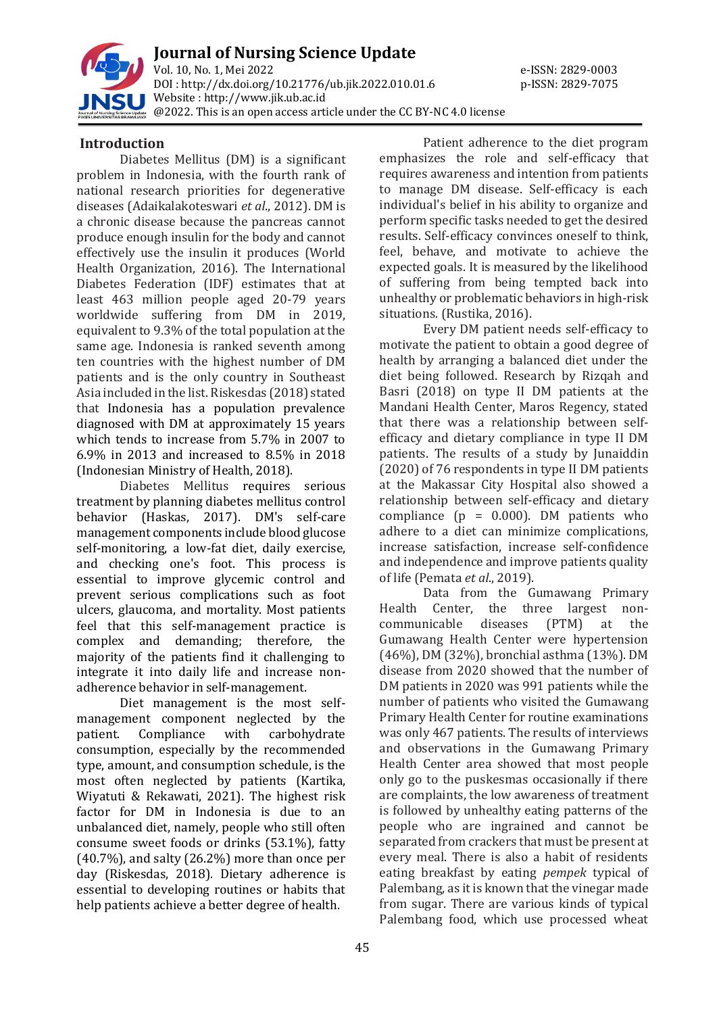

**Journal of Nursing Science Update** Vol. 10, No. 1, Mei 2022 e-ISSN: 2829-0003 DOI : [http://dx.doi.org/10.21776/ub.jik.2022.010.01.](http://dx.doi.org/10.21776/ub.jik.2022.010.01)6 p-ISSN: 2829-7075 Website : http:/[/www.jik.ub.ac.id](http://www.jik.ub.ac.id/) @2022. This is an open access article under the CC BY-NC 4.0 license

## **Introduction**

Diabetes Mellitus (DM) is a significant problem in Indonesia, with the fourth rank of national research priorities for degenerative diseases (Adaikalakoteswari *et al*., 2012). DM is a chronic disease because the pancreas cannot produce enough insulin for the body and cannot effectively use the insulin it produces (World Health Organization, 2016). The International Diabetes Federation (IDF) estimates that at least 463 million people aged 20-79 years worldwide suffering from DM in 2019, equivalent to 9.3% of the total population at the same age. Indonesia is ranked seventh among ten countries with the highest number of DM patients and is the only country in Southeast Asia included in the list. Riskesdas (2018) stated that Indonesia has a population prevalence diagnosed with DM at approximately 15 years which tends to increase from 5.7% in 2007 to 6.9% in 2013 and increased to 8.5% in 2018 (Indonesian Ministry of Health, 2018).

Diabetes Mellitus requires serious treatment by planning diabetes mellitus control behavior (Haskas, 2017). DM's self-care management components include blood glucose self-monitoring, a low-fat diet, daily exercise, and checking one's foot. This process is essential to improve glycemic control and prevent serious complications such as foot ulcers, glaucoma, and mortality. Most patients feel that this self-management practice is complex and demanding; therefore, the majority of the patients find it challenging to integrate it into daily life and increase nonadherence behavior in self-management.

Diet management is the most selfmanagement component neglected by the patient. Compliance with carbohydrate consumption, especially by the recommended type, amount, and consumption schedule, is the most often neglected by patients (Kartika, Wiyatuti & Rekawati, 2021). The highest risk factor for DM in Indonesia is due to an unbalanced diet, namely, people who still often consume sweet foods or drinks (53.1%), fatty (40.7%), and salty (26.2%) more than once per day (Riskesdas, 2018). Dietary adherence is essential to developing routines or habits that help patients achieve a better degree of health.

Patient adherence to the diet program emphasizes the role and self-efficacy that requires awareness and intention from patients to manage DM disease. Self-efficacy is each individual's belief in his ability to organize and perform specific tasks needed to get the desired results. Self-efficacy convinces oneself to think, feel, behave, and motivate to achieve the expected goals. It is measured by the likelihood of suffering from being tempted back into unhealthy or problematic behaviors in high-risk situations. (Rustika, 2016).

Every DM patient needs self-efficacy to motivate the patient to obtain a good degree of health by arranging a balanced diet under the diet being followed. Research by Rizqah and Basri (2018) on type II DM patients at the Mandani Health Center, Maros Regency, stated that there was a relationship between selfefficacy and dietary compliance in type II DM patients. The results of a study by Junaiddin (2020) of 76 respondents in type II DM patients at the Makassar City Hospital also showed a relationship between self-efficacy and dietary compliance ( $p = 0.000$ ). DM patients who adhere to a diet can minimize complications, increase satisfaction, increase self-confidence and independence and improve patients quality of life (Pemata *et al*., 2019).

Data from the Gumawang Primary Health Center, the three largest noncommunicable diseases (PTM) at the Gumawang Health Center were hypertension (46%), DM (32%), bronchial asthma (13%). DM disease from 2020 showed that the number of DM patients in 2020 was 991 patients while the number of patients who visited the Gumawang Primary Health Center for routine examinations was only 467 patients. The results of interviews and observations in the Gumawang Primary Health Center area showed that most people only go to the puskesmas occasionally if there are complaints, the low awareness of treatment is followed by unhealthy eating patterns of the people who are ingrained and cannot be separated from crackers that must be present at every meal. There is also a habit of residents eating breakfast by eating *pempek* typical of Palembang, as it is known that the vinegar made from sugar. There are various kinds of typical Palembang food, which use processed wheat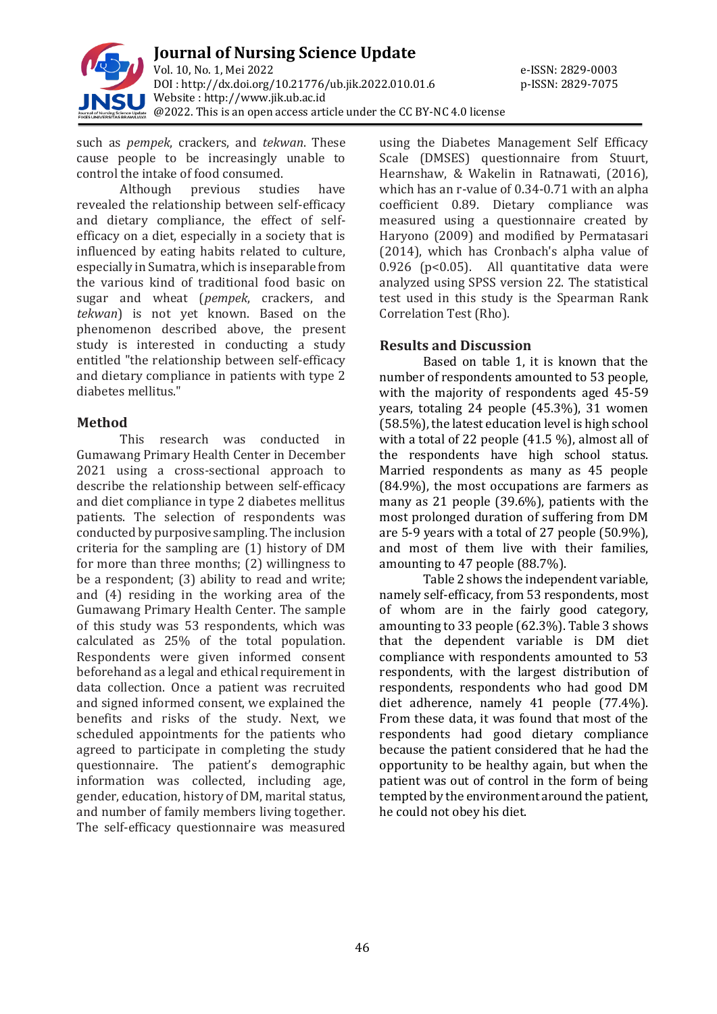

such as *pempek*, crackers, and *tekwan*. These cause people to be increasingly unable to control the intake of food consumed.

Although previous studies have revealed the relationship between self-efficacy and dietary compliance, the effect of selfefficacy on a diet, especially in a society that is influenced by eating habits related to culture, especially in Sumatra, which is inseparable from the various kind of traditional food basic on sugar and wheat (*pempek*, crackers, and *tekwan*) is not yet known. Based on the phenomenon described above, the present study is interested in conducting a study entitled "the relationship between self-efficacy and dietary compliance in patients with type 2 diabetes mellitus."

# **Method**

This research was conducted in Gumawang Primary Health Center in December 2021 using a cross-sectional approach to describe the relationship between self-efficacy and diet compliance in type 2 diabetes mellitus patients. The selection of respondents was conducted by purposive sampling. The inclusion criteria for the sampling are (1) history of DM for more than three months; (2) willingness to be a respondent; (3) ability to read and write; and (4) residing in the working area of the Gumawang Primary Health Center. The sample of this study was 53 respondents, which was calculated as 25% of the total population. Respondents were given informed consent beforehand as a legal and ethical requirement in data collection. Once a patient was recruited and signed informed consent, we explained the benefits and risks of the study. Next, we scheduled appointments for the patients who agreed to participate in completing the study questionnaire. The patient's demographic information was collected, including age, gender, education, history of DM, marital status, and number of family members living together. The self-efficacy questionnaire was measured

using the Diabetes Management Self Efficacy Scale (DMSES) questionnaire from Stuurt, Hearnshaw, & Wakelin in Ratnawati, (2016), which has an r-value of 0.34-0.71 with an alpha coefficient 0.89. Dietary compliance was measured using a questionnaire created by Haryono (2009) and modified by Permatasari (2014), which has Cronbach's alpha value of 0.926 (p<0.05). All quantitative data were analyzed using SPSS version 22. The statistical test used in this study is the Spearman Rank Correlation Test (Rho).

# **Results and Discussion**

Based on table 1, it is known that the number of respondents amounted to 53 people, with the majority of respondents aged 45-59 years, totaling 24 people (45.3%), 31 women (58.5%), the latest education level is high school with a total of 22 people (41.5 %), almost all of the respondents have high school status. Married respondents as many as 45 people (84.9%), the most occupations are farmers as many as 21 people (39.6%), patients with the most prolonged duration of suffering from DM are 5-9 years with a total of 27 people (50.9%), and most of them live with their families, amounting to 47 people (88.7%).

Table 2 shows the independent variable, namely self-efficacy, from 53 respondents, most of whom are in the fairly good category, amounting to 33 people (62.3%). Table 3 shows that the dependent variable is DM diet compliance with respondents amounted to 53 respondents, with the largest distribution of respondents, respondents who had good DM diet adherence, namely 41 people (77.4%). From these data, it was found that most of the respondents had good dietary compliance because the patient considered that he had the opportunity to be healthy again, but when the patient was out of control in the form of being tempted by the environment around the patient, he could not obey his diet.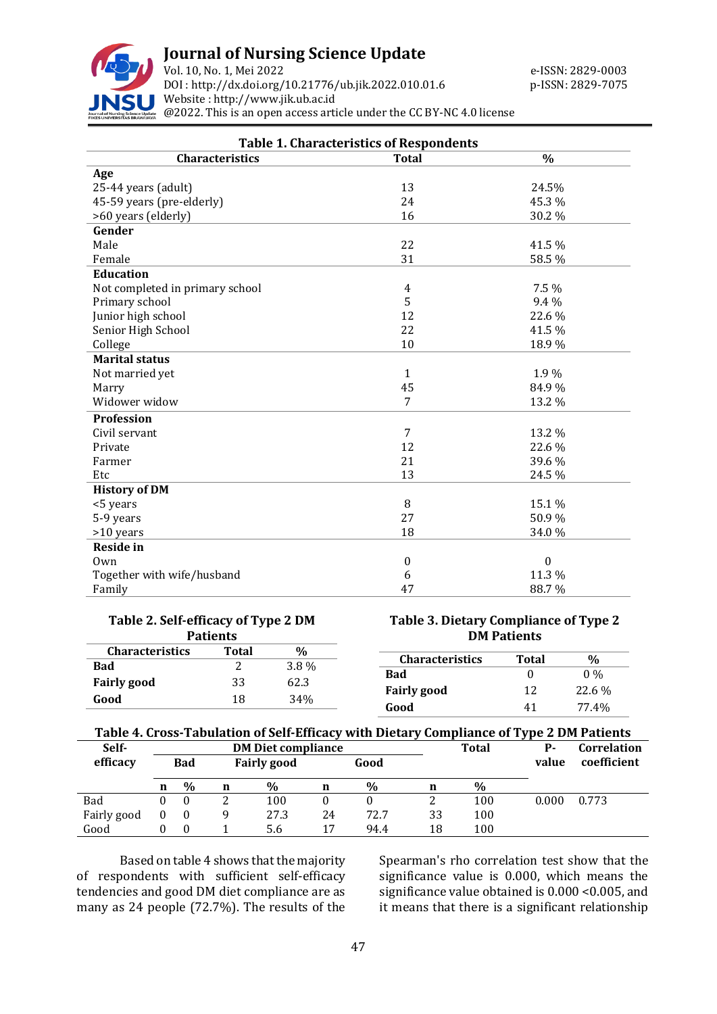

# **Journal of Nursing Science Update**

Vol. 10, No. 1, Mei 2022 **Example 2018** e-ISSN: 2829-0003 DOI : [http://dx.doi.org/10.21776/ub.jik.2022.010.01.6](http://dx.doi.org/10.21776/ub.jik.2022.010.01) p-ISSN: 2829-7075 Website : http:/[/www.jik.ub.ac.id](http://www.jik.ub.ac.id/) @2022. This is an open access article under the CC BY-NC 4.0 license

| <b>Table 1. Characteristics of Respondents</b> |                |                  |  |  |  |  |
|------------------------------------------------|----------------|------------------|--|--|--|--|
| Characteristics                                | <b>Total</b>   | $\frac{0}{0}$    |  |  |  |  |
| Age                                            |                |                  |  |  |  |  |
| 25-44 years (adult)                            | 13             | 24.5%            |  |  |  |  |
| 45-59 years (pre-elderly)                      | 24             | 45.3 %           |  |  |  |  |
| >60 years (elderly)                            | 16             | 30.2 %           |  |  |  |  |
| Gender                                         |                |                  |  |  |  |  |
| Male                                           | 22             | 41.5 %           |  |  |  |  |
| Female                                         | 31             | 58.5 %           |  |  |  |  |
| <b>Education</b>                               |                |                  |  |  |  |  |
| Not completed in primary school                | 4              | 7.5 %            |  |  |  |  |
| Primary school                                 | 5              | 9.4 %            |  |  |  |  |
| Junior high school                             | 12             | 22.6%            |  |  |  |  |
| Senior High School                             | 22             | 41.5 %           |  |  |  |  |
| College                                        | 10             | 18.9%            |  |  |  |  |
| <b>Marital status</b>                          |                |                  |  |  |  |  |
| Not married yet                                | $\mathbf{1}$   | 1.9%             |  |  |  |  |
| Marry                                          | 45             | 84.9%            |  |  |  |  |
| Widower widow                                  | $\overline{7}$ | 13.2 %           |  |  |  |  |
| Profession                                     |                |                  |  |  |  |  |
| Civil servant                                  | $\overline{7}$ | 13.2 %           |  |  |  |  |
| Private                                        | 12             | 22.6 %           |  |  |  |  |
| Farmer                                         | 21             | 39.6 %           |  |  |  |  |
| Etc                                            | 13             | 24.5 %           |  |  |  |  |
| <b>History of DM</b>                           |                |                  |  |  |  |  |
| <5 years                                       | 8              | 15.1 %           |  |  |  |  |
| 5-9 years                                      | 27             | 50.9%            |  |  |  |  |
| >10 years                                      | 18             | 34.0%            |  |  |  |  |
| <b>Reside in</b>                               |                |                  |  |  |  |  |
| Own                                            | $\mathbf{0}$   | $\boldsymbol{0}$ |  |  |  |  |
| Together with wife/husband                     | 6              | 11.3 %           |  |  |  |  |
| Family                                         | 47             | 88.7%            |  |  |  |  |

| Table 2. Self-efficacy of Type 2 DM                     |    |      |  |  |  |  |
|---------------------------------------------------------|----|------|--|--|--|--|
| <b>Patients</b><br><b>Characteristics</b><br>Total<br>℆ |    |      |  |  |  |  |
| <b>Bad</b>                                              | 2  | 3.8% |  |  |  |  |
| <b>Fairly good</b>                                      | 33 | 62.3 |  |  |  |  |
| Good                                                    | 18 | 34%  |  |  |  |  |

### **Table 3. Dietary Compliance of Type 2 DM Patients**

| <b>Characteristics</b> | Total | ℅      |
|------------------------|-------|--------|
| Bad                    | 0     | $0\%$  |
| <b>Fairly good</b>     | 12    | 22.6 % |
| Good                   | 41    | 77.4%  |

# **Table 4. Cross-Tabulation of Self-Efficacy with Dietary Compliance of Type 2 DM Patients**

| Self-       | <b>DM Diet compliance</b> |          |   |                    |    | <b>Total</b> | . .<br>р. | Correlation   |       |             |
|-------------|---------------------------|----------|---|--------------------|----|--------------|-----------|---------------|-------|-------------|
| efficacy    | <b>Bad</b>                |          |   | <b>Fairly good</b> |    | Good         |           |               | value | coefficient |
|             | n                         | $\%$     | n | $\frac{0}{0}$      | n  | $\%$         | n         | $\frac{0}{0}$ |       |             |
| Bad         | 0                         | $\theta$ |   | 100                |    |              |           | 100           | 0.000 | 0.773       |
| Fairly good |                           |          |   | 27.3               | 24 | 72.7         | 33        | 100           |       |             |
| Good        |                           | $\Omega$ |   | 5.6                | 17 | 94.4         | 18        | 100           |       |             |

Based on table 4 shows that the majority of respondents with sufficient self-efficacy tendencies and good DM diet compliance are as many as 24 people (72.7%). The results of the

Spearman's rho correlation test show that the significance value is 0.000, which means the significance value obtained is 0.000 <0.005, and it means that there is a significant relationship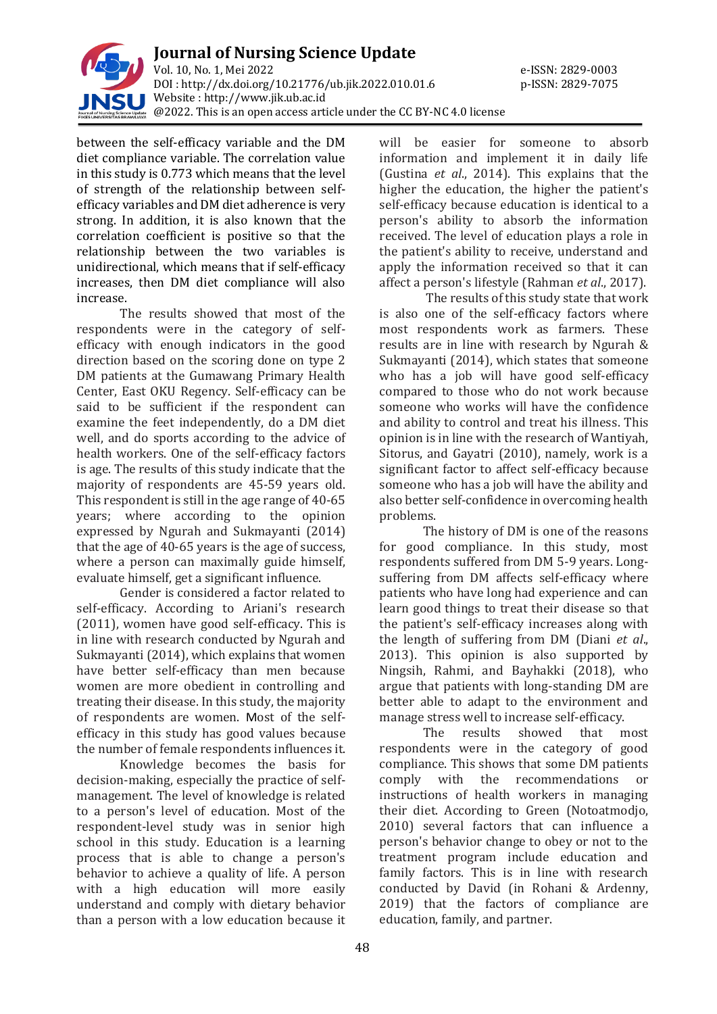

between the self-efficacy variable and the DM diet compliance variable. The correlation value in this study is 0.773 which means that the level of strength of the relationship between selfefficacy variables and DM diet adherence is very strong. In addition, it is also known that the correlation coefficient is positive so that the relationship between the two variables is unidirectional, which means that if self-efficacy increases, then DM diet compliance will also increase.

The results showed that most of the respondents were in the category of selfefficacy with enough indicators in the good direction based on the scoring done on type 2 DM patients at the Gumawang Primary Health Center, East OKU Regency. Self-efficacy can be said to be sufficient if the respondent can examine the feet independently, do a DM diet well, and do sports according to the advice of health workers. One of the self-efficacy factors is age. The results of this study indicate that the majority of respondents are 45-59 years old. This respondent is still in the age range of 40-65 years; where according to the opinion expressed by Ngurah and Sukmayanti (2014) that the age of 40-65 years is the age of success, where a person can maximally guide himself, evaluate himself, get a significant influence.

Gender is considered a factor related to self-efficacy. According to Ariani's research (2011), women have good self-efficacy. This is in line with research conducted by Ngurah and Sukmayanti (2014), which explains that women have better self-efficacy than men because women are more obedient in controlling and treating their disease. In this study, the majority of respondents are women. Most of the selfefficacy in this study has good values because the number of female respondents influences it.

Knowledge becomes the basis for decision-making, especially the practice of selfmanagement. The level of knowledge is related to a person's level of education. Most of the respondent-level study was in senior high school in this study. Education is a learning process that is able to change a person's behavior to achieve a quality of life. A person with a high education will more easily understand and comply with dietary behavior than a person with a low education because it will be easier for someone to absorb information and implement it in daily life (Gustina *et al*., 2014). This explains that the higher the education, the higher the patient's self-efficacy because education is identical to a person's ability to absorb the information received. The level of education plays a role in the patient's ability to receive, understand and apply the information received so that it can affect a person's lifestyle (Rahman *et al*., 2017).

The results of this study state that work is also one of the self-efficacy factors where most respondents work as farmers. These results are in line with research by Ngurah & Sukmayanti (2014), which states that someone who has a job will have good self-efficacy compared to those who do not work because someone who works will have the confidence and ability to control and treat his illness. This opinion is in line with the research of Wantiyah, Sitorus, and Gayatri (2010), namely, work is a significant factor to affect self-efficacy because someone who has a job will have the ability and also better self-confidence in overcoming health problems.

The history of DM is one of the reasons for good compliance. In this study, most respondents suffered from DM 5-9 years. Longsuffering from DM affects self-efficacy where patients who have long had experience and can learn good things to treat their disease so that the patient's self-efficacy increases along with the length of suffering from DM (Diani *et al*., 2013). This opinion is also supported by Ningsih, Rahmi, and Bayhakki (2018), who argue that patients with long-standing DM are better able to adapt to the environment and manage stress well to increase self-efficacy.

The results showed that most respondents were in the category of good compliance. This shows that some DM patients comply with the recommendations or instructions of health workers in managing their diet. According to Green (Notoatmodjo, 2010) several factors that can influence a person's behavior change to obey or not to the treatment program include education and family factors. This is in line with research conducted by David (in Rohani & Ardenny, 2019) that the factors of compliance are education, family, and partner.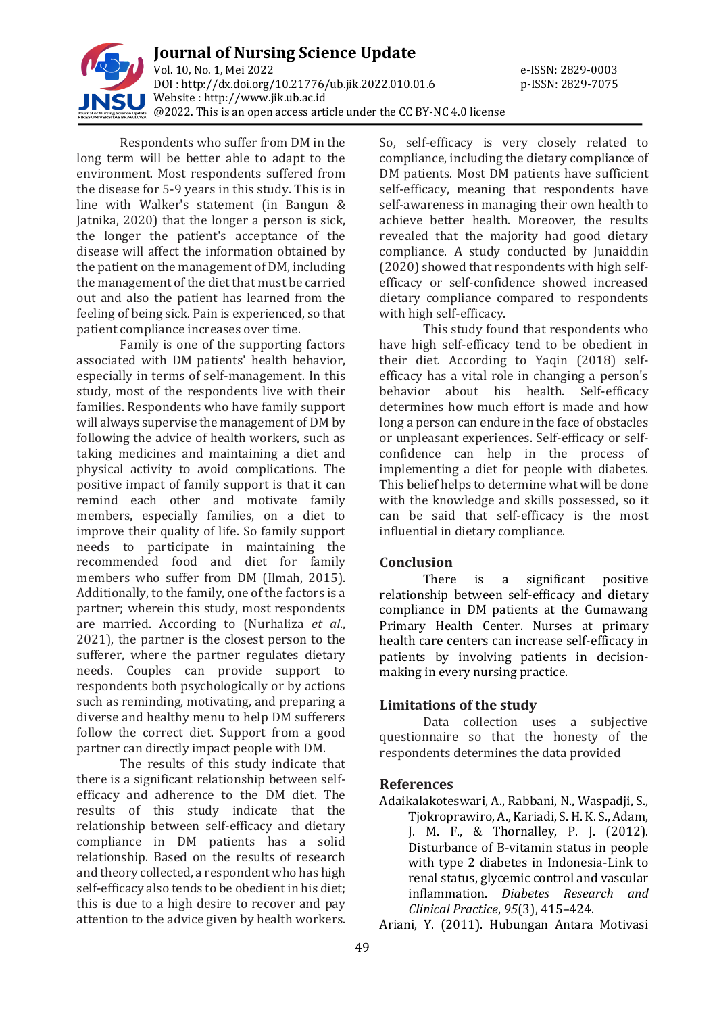

Respondents who suffer from DM in the long term will be better able to adapt to the environment. Most respondents suffered from the disease for 5-9 years in this study. This is in line with Walker's statement (in Bangun & Jatnika, 2020) that the longer a person is sick, the longer the patient's acceptance of the disease will affect the information obtained by the patient on the management of DM, including the management of the diet that must be carried out and also the patient has learned from the feeling of being sick. Pain is experienced, so that patient compliance increases over time.

Family is one of the supporting factors associated with DM patients' health behavior, especially in terms of self-management. In this study, most of the respondents live with their families. Respondents who have family support will always supervise the management of DM by following the advice of health workers, such as taking medicines and maintaining a diet and physical activity to avoid complications. The positive impact of family support is that it can remind each other and motivate family members, especially families, on a diet to improve their quality of life. So family support needs to participate in maintaining the recommended food and diet for family members who suffer from DM (Ilmah, 2015). Additionally, to the family, one of the factors is a partner; wherein this study, most respondents are married. According to (Nurhaliza *et al*., 2021), the partner is the closest person to the sufferer, where the partner regulates dietary needs. Couples can provide support to respondents both psychologically or by actions such as reminding, motivating, and preparing a diverse and healthy menu to help DM sufferers follow the correct diet. Support from a good partner can directly impact people with DM.

The results of this study indicate that there is a significant relationship between selfefficacy and adherence to the DM diet. The results of this study indicate that the relationship between self-efficacy and dietary compliance in DM patients has a solid relationship. Based on the results of research and theory collected, a respondent who has high self-efficacy also tends to be obedient in his diet; this is due to a high desire to recover and pay attention to the advice given by health workers.

So, self-efficacy is very closely related to compliance, including the dietary compliance of DM patients. Most DM patients have sufficient self-efficacy, meaning that respondents have self-awareness in managing their own health to achieve better health. Moreover, the results revealed that the majority had good dietary compliance. A study conducted by Junaiddin (2020) showed that respondents with high selfefficacy or self-confidence showed increased dietary compliance compared to respondents with high self-efficacy.

This study found that respondents who have high self-efficacy tend to be obedient in their diet. According to Yaqin (2018) selfefficacy has a vital role in changing a person's behavior about his health. Self-efficacy determines how much effort is made and how long a person can endure in the face of obstacles or unpleasant experiences. Self-efficacy or selfconfidence can help in the process of implementing a diet for people with diabetes. This belief helps to determine what will be done with the knowledge and skills possessed, so it can be said that self-efficacy is the most influential in dietary compliance.

# **Conclusion**

There is a significant positive relationship between self-efficacy and dietary compliance in DM patients at the Gumawang Primary Health Center. Nurses at primary health care centers can increase self-efficacy in patients by involving patients in decisionmaking in every nursing practice.

### **Limitations of the study**

Data collection uses a subjective questionnaire so that the honesty of the respondents determines the data provided

### **References**

Adaikalakoteswari, A., Rabbani, N., Waspadji, S., Tjokroprawiro, A., Kariadi, S. H. K. S., Adam, J. M. F., & Thornalley, P. J. (2012). Disturbance of B-vitamin status in people with type 2 diabetes in Indonesia-Link to renal status, glycemic control and vascular inflammation. *Diabetes Research and Clinical Practice*, *95*(3), 415–424.

Ariani, Y. (2011). Hubungan Antara Motivasi